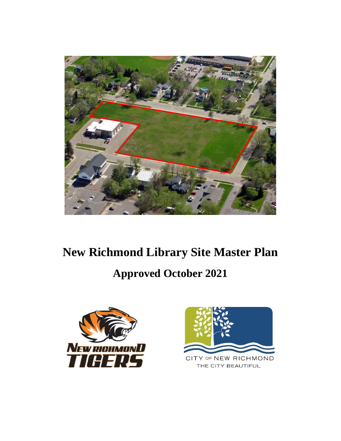

# **New Richmond Library Site Master Plan Approved October 2021**



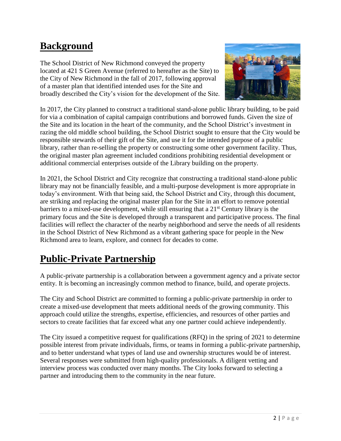### **Background**

The School District of New Richmond conveyed the property located at 421 S Green Avenue (referred to hereafter as the Site) to the City of New Richmond in the fall of 2017, following approval of a master plan that identified intended uses for the Site and broadly described the City's vision for the development of the Site.



In 2017, the City planned to construct a traditional stand-alone public library building, to be paid for via a combination of capital campaign contributions and borrowed funds. Given the size of the Site and its location in the heart of the community, and the School District's investment in razing the old middle school building, the School District sought to ensure that the City would be responsible stewards of their gift of the Site, and use it for the intended purpose of a public library, rather than re-selling the property or constructing some other government facility. Thus, the original master plan agreement included conditions prohibiting residential development or additional commercial enterprises outside of the Library building on the property.

In 2021, the School District and City recognize that constructing a traditional stand-alone public library may not be financially feasible, and a multi-purpose development is more appropriate in today's environment. With that being said, the School District and City, through this document, are striking and replacing the original master plan for the Site in an effort to remove potential barriers to a mixed-use development, while still ensuring that a  $21<sup>st</sup>$  Century library is the primary focus and the Site is developed through a transparent and participative process. The final facilities will reflect the character of the nearby neighborhood and serve the needs of all residents in the School District of New Richmond as a vibrant gathering space for people in the New Richmond area to learn, explore, and connect for decades to come.

# **Public-Private Partnership**

A public-private partnership is a collaboration between a government agency and a private sector entity. It is becoming an increasingly common method to finance, build, and operate projects.

The City and School District are committed to forming a public-private partnership in order to create a mixed-use development that meets additional needs of the growing community. This approach could utilize the strengths, expertise, efficiencies, and resources of other parties and sectors to create facilities that far exceed what any one partner could achieve independently.

The City issued a competitive request for qualifications (RFQ) in the spring of 2021 to determine possible interest from private individuals, firms, or teams in forming a public-private partnership, and to better understand what types of land use and ownership structures would be of interest. Several responses were submitted from high-quality professionals. A diligent vetting and interview process was conducted over many months. The City looks forward to selecting a partner and introducing them to the community in the near future.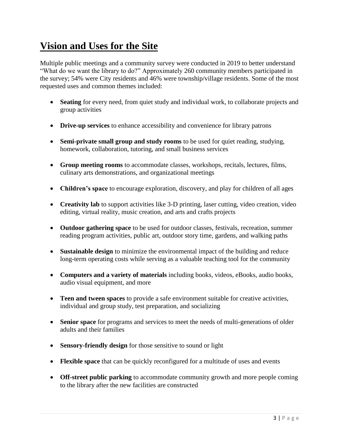## **Vision and Uses for the Site**

Multiple public meetings and a community survey were conducted in 2019 to better understand "What do we want the library to do?" Approximately 260 community members participated in the survey; 54% were City residents and 46% were township/village residents. Some of the most requested uses and common themes included:

- **Seating** for every need, from quiet study and individual work, to collaborate projects and group activities
- **Drive-up services** to enhance accessibility and convenience for library patrons
- **Semi-private small group and study rooms** to be used for quiet reading, studying, homework, collaboration, tutoring, and small business services
- **Group meeting rooms** to accommodate classes, workshops, recitals, lectures, films, culinary arts demonstrations, and organizational meetings
- **Children's space** to encourage exploration, discovery, and play for children of all ages
- **Creativity lab** to support activities like 3-D printing, laser cutting, video creation, video editing, virtual reality, music creation, and arts and crafts projects
- **Outdoor gathering space** to be used for outdoor classes, festivals, recreation, summer reading program activities, public art, outdoor story time, gardens, and walking paths
- **Sustainable design** to minimize the environmental impact of the building and reduce long-term operating costs while serving as a valuable teaching tool for the community
- **Computers and a variety of materials** including books, videos, eBooks, audio books, audio visual equipment, and more
- **Teen and tween spaces** to provide a safe environment suitable for creative activities, individual and group study, test preparation, and socializing
- **Senior space** for programs and services to meet the needs of multi-generations of older adults and their families
- **Sensory-friendly design** for those sensitive to sound or light
- **Flexible space** that can be quickly reconfigured for a multitude of uses and events
- **Off-street public parking** to accommodate community growth and more people coming to the library after the new facilities are constructed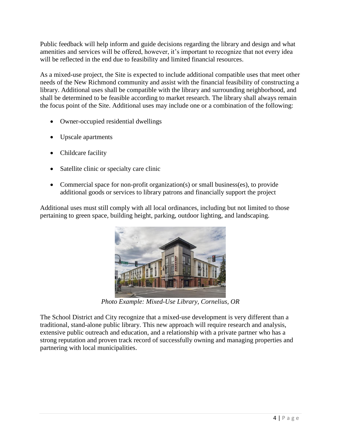Public feedback will help inform and guide decisions regarding the library and design and what amenities and services will be offered, however, it's important to recognize that not every idea will be reflected in the end due to feasibility and limited financial resources.

As a mixed-use project, the Site is expected to include additional compatible uses that meet other needs of the New Richmond community and assist with the financial feasibility of constructing a library. Additional uses shall be compatible with the library and surrounding neighborhood, and shall be determined to be feasible according to market research. The library shall always remain the focus point of the Site. Additional uses may include one or a combination of the following:

- Owner-occupied residential dwellings
- Upscale apartments
- Childcare facility
- Satellite clinic or specialty care clinic
- Commercial space for non-profit organization(s) or small business(es), to provide additional goods or services to library patrons and financially support the project

Additional uses must still comply with all local ordinances, including but not limited to those pertaining to green space, building height, parking, outdoor lighting, and landscaping.



*Photo Example: Mixed-Use Library, Cornelius, OR*

The School District and City recognize that a mixed-use development is very different than a traditional, stand-alone public library. This new approach will require research and analysis, extensive public outreach and education, and a relationship with a private partner who has a strong reputation and proven track record of successfully owning and managing properties and partnering with local municipalities.